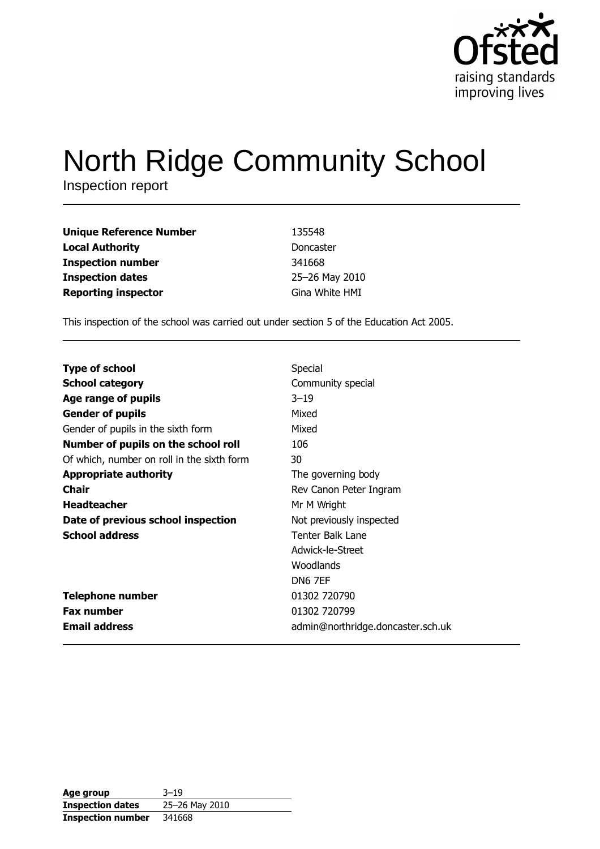

# North Ridge Community School

Inspection report

| Unique Reference Number    | 135548         |
|----------------------------|----------------|
| Local Authority            | Doncaster      |
| Inspection number          | 341668         |
| <b>Inspection dates</b>    | 25-26 May 2010 |
| <b>Reporting inspector</b> | Gina White HMI |

This inspection of the school was carried out under section 5 of the Education Act 2005.

| <b>Type of school</b>                      | Special                           |
|--------------------------------------------|-----------------------------------|
| <b>School category</b>                     | Community special                 |
| Age range of pupils                        | $3 - 19$                          |
| <b>Gender of pupils</b>                    | Mixed                             |
| Gender of pupils in the sixth form         | Mixed                             |
| Number of pupils on the school roll        | 106                               |
| Of which, number on roll in the sixth form | 30                                |
| <b>Appropriate authority</b>               | The governing body                |
| <b>Chair</b>                               | Rev Canon Peter Ingram            |
| <b>Headteacher</b>                         | Mr M Wright                       |
| Date of previous school inspection         | Not previously inspected          |
| <b>School address</b>                      | Tenter Balk Lane                  |
|                                            | Adwick-le-Street                  |
|                                            | Woodlands                         |
|                                            | DN6 7EF                           |
| <b>Telephone number</b>                    | 01302 720790                      |
| <b>Fax number</b>                          | 01302 720799                      |
| <b>Email address</b>                       | admin@northridge.doncaster.sch.uk |

| Age group                | $3 - 19$       |
|--------------------------|----------------|
| <b>Inspection dates</b>  | 25-26 May 2010 |
| <b>Inspection number</b> | 341668         |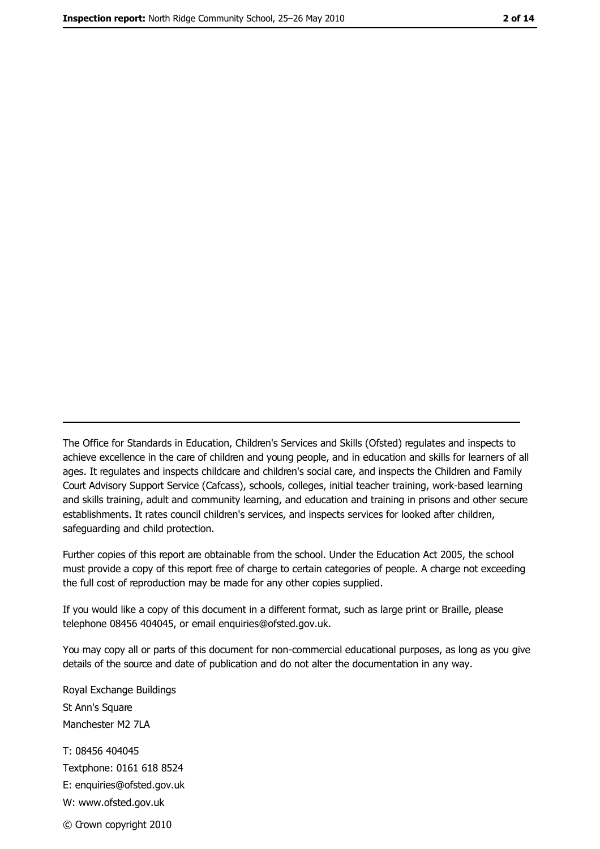The Office for Standards in Education, Children's Services and Skills (Ofsted) regulates and inspects to achieve excellence in the care of children and young people, and in education and skills for learners of all ages. It regulates and inspects childcare and children's social care, and inspects the Children and Family Court Advisory Support Service (Cafcass), schools, colleges, initial teacher training, work-based learning and skills training, adult and community learning, and education and training in prisons and other secure establishments. It rates council children's services, and inspects services for looked after children, safequarding and child protection.

Further copies of this report are obtainable from the school. Under the Education Act 2005, the school must provide a copy of this report free of charge to certain categories of people. A charge not exceeding the full cost of reproduction may be made for any other copies supplied.

If you would like a copy of this document in a different format, such as large print or Braille, please telephone 08456 404045, or email enquiries@ofsted.gov.uk.

You may copy all or parts of this document for non-commercial educational purposes, as long as you give details of the source and date of publication and do not alter the documentation in any way.

Royal Exchange Buildings St Ann's Square Manchester M2 7LA T: 08456 404045 Textphone: 0161 618 8524 E: enquiries@ofsted.gov.uk W: www.ofsted.gov.uk © Crown copyright 2010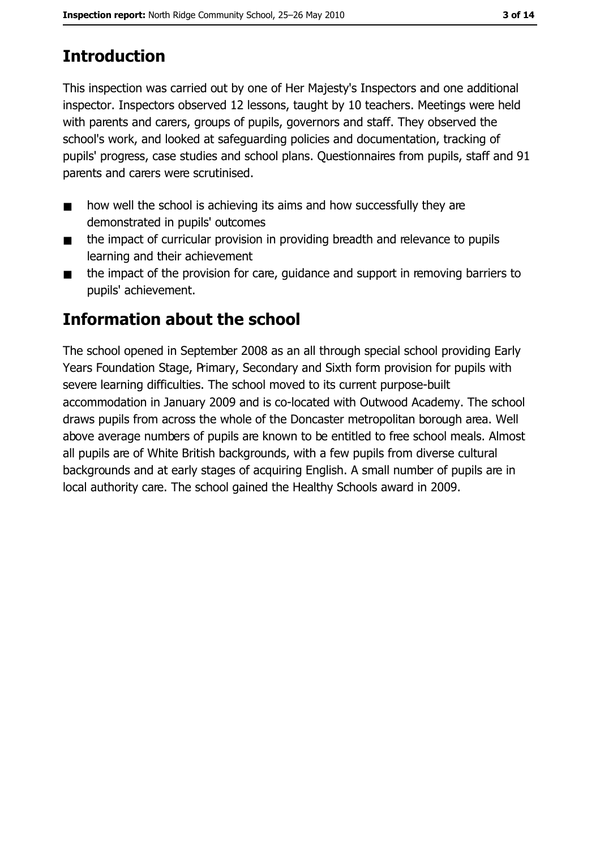# **Introduction**

This inspection was carried out by one of Her Majesty's Inspectors and one additional inspector. Inspectors observed 12 lessons, taught by 10 teachers. Meetings were held with parents and carers, groups of pupils, governors and staff. They observed the school's work, and looked at safeguarding policies and documentation, tracking of pupils' progress, case studies and school plans. Questionnaires from pupils, staff and 91 parents and carers were scrutinised.

- how well the school is achieving its aims and how successfully they are  $\blacksquare$ demonstrated in pupils' outcomes
- the impact of curricular provision in providing breadth and relevance to pupils  $\blacksquare$ learning and their achievement
- the impact of the provision for care, guidance and support in removing barriers to  $\blacksquare$ pupils' achievement.

# Information about the school

The school opened in September 2008 as an all through special school providing Early Years Foundation Stage, Primary, Secondary and Sixth form provision for pupils with severe learning difficulties. The school moved to its current purpose-built accommodation in January 2009 and is co-located with Outwood Academy. The school draws pupils from across the whole of the Doncaster metropolitan borough area. Well above average numbers of pupils are known to be entitled to free school meals. Almost all pupils are of White British backgrounds, with a few pupils from diverse cultural backgrounds and at early stages of acquiring English. A small number of pupils are in local authority care. The school gained the Healthy Schools award in 2009.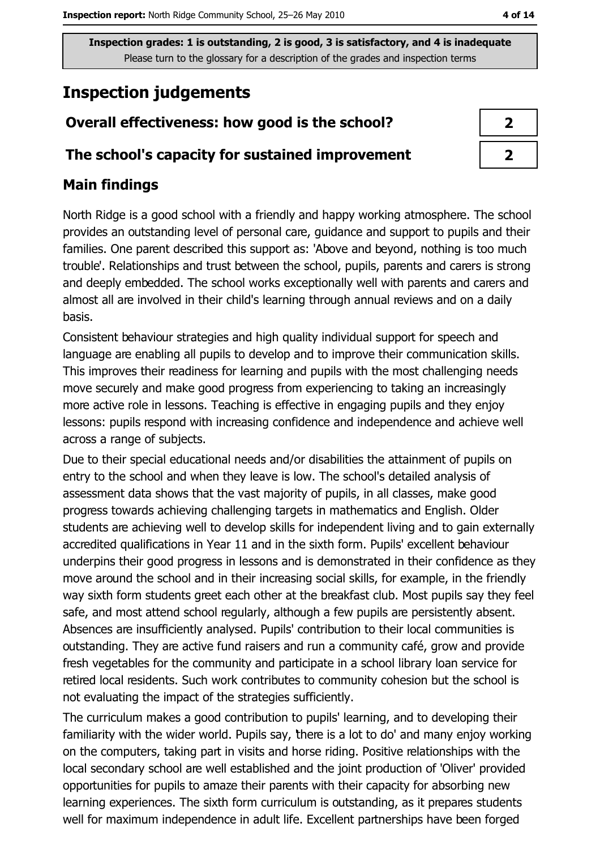# **Inspection judgements**

# Overall effectiveness: how good is the school?

#### The school's capacity for sustained improvement

### **Main findings**

North Ridge is a good school with a friendly and happy working atmosphere. The school provides an outstanding level of personal care, guidance and support to pupils and their families. One parent described this support as: 'Above and beyond, nothing is too much trouble'. Relationships and trust between the school, pupils, parents and carers is strong and deeply embedded. The school works exceptionally well with parents and carers and almost all are involved in their child's learning through annual reviews and on a daily hasis.

Consistent behaviour strategies and high quality individual support for speech and language are enabling all pupils to develop and to improve their communication skills. This improves their readiness for learning and pupils with the most challenging needs move securely and make good progress from experiencing to taking an increasingly more active role in lessons. Teaching is effective in engaging pupils and they enjoy lessons: pupils respond with increasing confidence and independence and achieve well across a range of subjects.

Due to their special educational needs and/or disabilities the attainment of pupils on entry to the school and when they leave is low. The school's detailed analysis of assessment data shows that the vast majority of pupils, in all classes, make good progress towards achieving challenging targets in mathematics and English. Older students are achieving well to develop skills for independent living and to gain externally accredited qualifications in Year 11 and in the sixth form. Pupils' excellent behaviour underpins their good progress in lessons and is demonstrated in their confidence as they move around the school and in their increasing social skills, for example, in the friendly way sixth form students greet each other at the breakfast club. Most pupils say they feel safe, and most attend school regularly, although a few pupils are persistently absent. Absences are insufficiently analysed. Pupils' contribution to their local communities is outstanding. They are active fund raisers and run a community café, grow and provide fresh vegetables for the community and participate in a school library loan service for retired local residents. Such work contributes to community cohesion but the school is not evaluating the impact of the strategies sufficiently.

The curriculum makes a good contribution to pupils' learning, and to developing their familiarity with the wider world. Pupils say, there is a lot to do' and many enjoy working on the computers, taking part in visits and horse riding. Positive relationships with the local secondary school are well established and the joint production of 'Oliver' provided opportunities for pupils to amaze their parents with their capacity for absorbing new learning experiences. The sixth form curriculum is outstanding, as it prepares students well for maximum independence in adult life. Excellent partnerships have been forged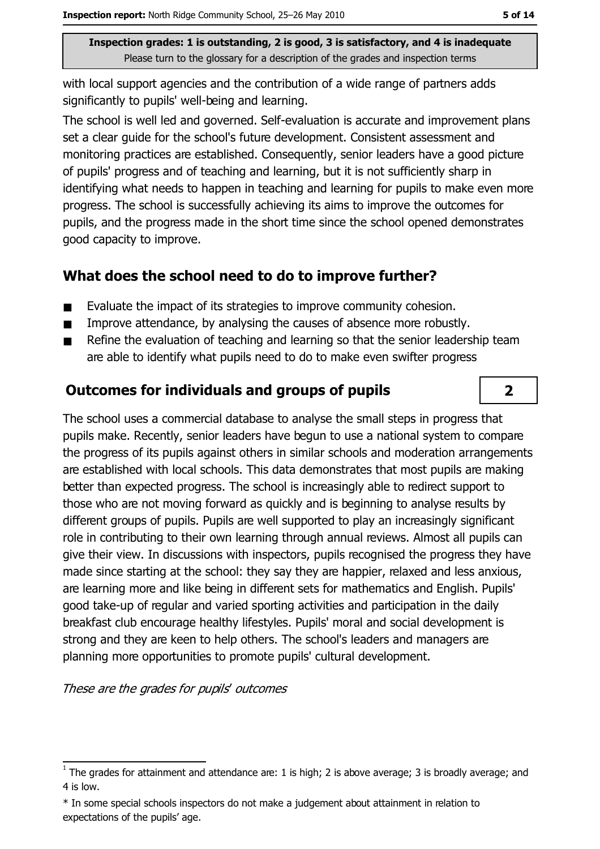with local support agencies and the contribution of a wide range of partners adds significantly to pupils' well-being and learning.

The school is well led and governed. Self-evaluation is accurate and improvement plans set a clear quide for the school's future development. Consistent assessment and monitoring practices are established. Consequently, senior leaders have a good picture of pupils' progress and of teaching and learning, but it is not sufficiently sharp in identifying what needs to happen in teaching and learning for pupils to make even more progress. The school is successfully achieving its aims to improve the outcomes for pupils, and the progress made in the short time since the school opened demonstrates good capacity to improve.

# What does the school need to do to improve further?

- Evaluate the impact of its strategies to improve community cohesion.  $\blacksquare$
- Improve attendance, by analysing the causes of absence more robustly.  $\blacksquare$
- Refine the evaluation of teaching and learning so that the senior leadership team are able to identify what pupils need to do to make even swifter progress

# **Outcomes for individuals and groups of pupils**

The school uses a commercial database to analyse the small steps in progress that pupils make. Recently, senior leaders have begun to use a national system to compare the progress of its pupils against others in similar schools and moderation arrangements are established with local schools. This data demonstrates that most pupils are making better than expected progress. The school is increasingly able to redirect support to those who are not moving forward as guickly and is beginning to analyse results by different groups of pupils. Pupils are well supported to play an increasingly significant role in contributing to their own learning through annual reviews. Almost all pupils can give their view. In discussions with inspectors, pupils recognised the progress they have made since starting at the school: they say they are happier, relaxed and less anxious, are learning more and like being in different sets for mathematics and English. Pupils' good take-up of regular and varied sporting activities and participation in the daily breakfast club encourage healthy lifestyles. Pupils' moral and social development is strong and they are keen to help others. The school's leaders and managers are planning more opportunities to promote pupils' cultural development.

These are the grades for pupils' outcomes

 $\overline{\mathbf{2}}$ 

 $\overline{1}$  The grades for attainment and attendance are: 1 is high; 2 is above average; 3 is broadly average; and 4 is low.

<sup>\*</sup> In some special schools inspectors do not make a judgement about attainment in relation to expectations of the pupils' age.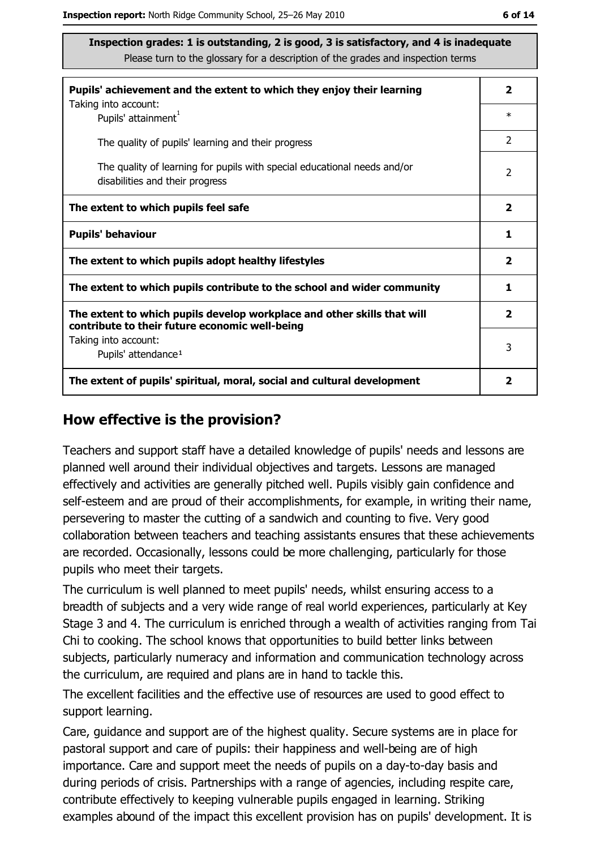| Pupils' achievement and the extent to which they enjoy their learning                                                     |                         |  |
|---------------------------------------------------------------------------------------------------------------------------|-------------------------|--|
| Taking into account:<br>Pupils' attainment <sup>1</sup>                                                                   | $\ast$                  |  |
| The quality of pupils' learning and their progress                                                                        | 2                       |  |
| The quality of learning for pupils with special educational needs and/or<br>disabilities and their progress               | $\overline{2}$          |  |
| The extent to which pupils feel safe                                                                                      | $\overline{\mathbf{2}}$ |  |
| <b>Pupils' behaviour</b>                                                                                                  | 1                       |  |
| The extent to which pupils adopt healthy lifestyles                                                                       | $\overline{\mathbf{2}}$ |  |
| The extent to which pupils contribute to the school and wider community                                                   |                         |  |
| The extent to which pupils develop workplace and other skills that will<br>contribute to their future economic well-being | $\overline{\mathbf{2}}$ |  |
| Taking into account:                                                                                                      | 3                       |  |
| Pupils' attendance <sup>1</sup>                                                                                           |                         |  |
| The extent of pupils' spiritual, moral, social and cultural development                                                   | 2                       |  |

#### How effective is the provision?

Teachers and support staff have a detailed knowledge of pupils' needs and lessons are planned well around their individual objectives and targets. Lessons are managed effectively and activities are generally pitched well. Pupils visibly gain confidence and self-esteem and are proud of their accomplishments, for example, in writing their name, persevering to master the cutting of a sandwich and counting to five. Very good collaboration between teachers and teaching assistants ensures that these achievements are recorded. Occasionally, lessons could be more challenging, particularly for those pupils who meet their targets.

The curriculum is well planned to meet pupils' needs, whilst ensuring access to a breadth of subjects and a very wide range of real world experiences, particularly at Key Stage 3 and 4. The curriculum is enriched through a wealth of activities ranging from Tai Chi to cooking. The school knows that opportunities to build better links between subjects, particularly numeracy and information and communication technology across the curriculum, are required and plans are in hand to tackle this.

The excellent facilities and the effective use of resources are used to good effect to support learning.

Care, guidance and support are of the highest guality. Secure systems are in place for pastoral support and care of pupils: their happiness and well-being are of high importance. Care and support meet the needs of pupils on a day-to-day basis and during periods of crisis. Partnerships with a range of agencies, including respite care, contribute effectively to keeping vulnerable pupils engaged in learning. Striking examples abound of the impact this excellent provision has on pupils' development. It is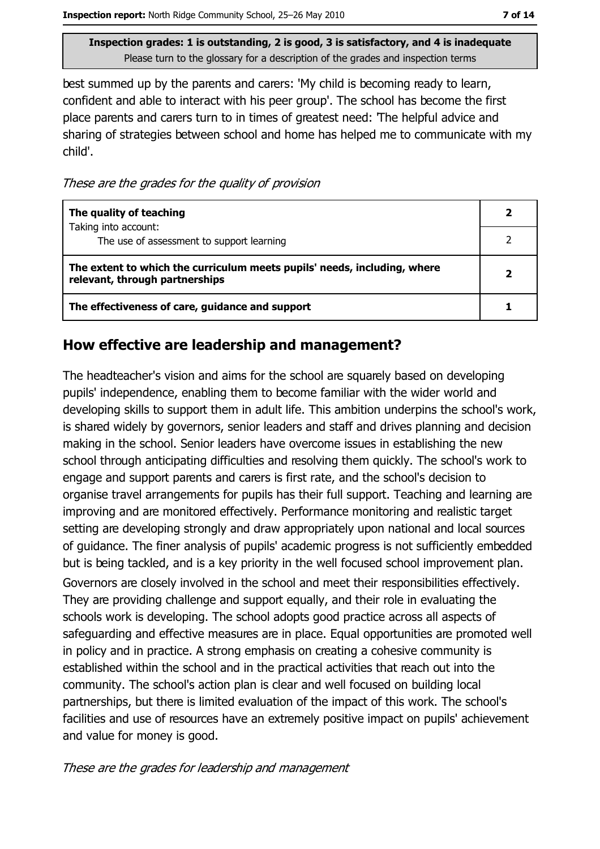best summed up by the parents and carers: 'My child is becoming ready to learn, confident and able to interact with his peer group'. The school has become the first place parents and carers turn to in times of greatest need: The helpful advice and sharing of strategies between school and home has helped me to communicate with my child'.

These are the grades for the quality of provision

| The quality of teaching                                                                                    |  |
|------------------------------------------------------------------------------------------------------------|--|
| Taking into account:<br>The use of assessment to support learning                                          |  |
| The extent to which the curriculum meets pupils' needs, including, where<br>relevant, through partnerships |  |
| The effectiveness of care, guidance and support                                                            |  |

#### How effective are leadership and management?

The headteacher's vision and aims for the school are squarely based on developing pupils' independence, enabling them to become familiar with the wider world and developing skills to support them in adult life. This ambition underpins the school's work, is shared widely by governors, senior leaders and staff and drives planning and decision making in the school. Senior leaders have overcome issues in establishing the new school through anticipating difficulties and resolving them quickly. The school's work to engage and support parents and carers is first rate, and the school's decision to organise travel arrangements for pupils has their full support. Teaching and learning are improving and are monitored effectively. Performance monitoring and realistic target setting are developing strongly and draw appropriately upon national and local sources of quidance. The finer analysis of pupils' academic progress is not sufficiently embedded but is being tackled, and is a key priority in the well focused school improvement plan. Governors are closely involved in the school and meet their responsibilities effectively. They are providing challenge and support equally, and their role in evaluating the schools work is developing. The school adopts good practice across all aspects of safeguarding and effective measures are in place. Equal opportunities are promoted well in policy and in practice. A strong emphasis on creating a cohesive community is established within the school and in the practical activities that reach out into the community. The school's action plan is clear and well focused on building local partnerships, but there is limited evaluation of the impact of this work. The school's facilities and use of resources have an extremely positive impact on pupils' achievement and value for money is good.

These are the grades for leadership and management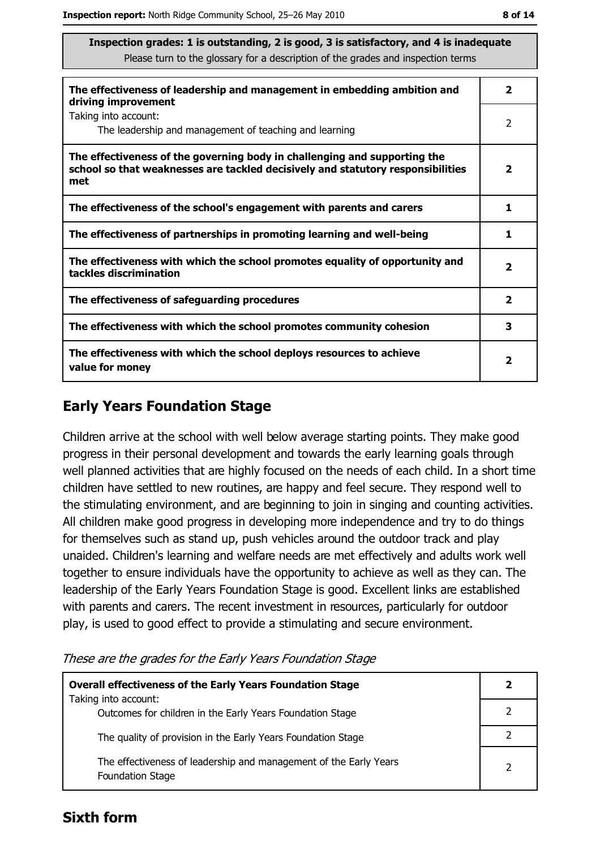| The effectiveness of leadership and management in embedding ambition and<br>driving improvement                                                                     | $\overline{\mathbf{2}}$ |
|---------------------------------------------------------------------------------------------------------------------------------------------------------------------|-------------------------|
| Taking into account:<br>The leadership and management of teaching and learning                                                                                      | 2                       |
| The effectiveness of the governing body in challenging and supporting the<br>school so that weaknesses are tackled decisively and statutory responsibilities<br>met | $\overline{\mathbf{2}}$ |
| The effectiveness of the school's engagement with parents and carers                                                                                                | 1                       |
| The effectiveness of partnerships in promoting learning and well-being                                                                                              | 1                       |
| The effectiveness with which the school promotes equality of opportunity and<br>tackles discrimination                                                              | 2                       |
| The effectiveness of safeguarding procedures                                                                                                                        | $\overline{\mathbf{2}}$ |
| The effectiveness with which the school promotes community cohesion                                                                                                 | 3                       |
| The effectiveness with which the school deploys resources to achieve<br>value for money                                                                             | 2                       |

## **Early Years Foundation Stage**

Children arrive at the school with well below average starting points. They make good progress in their personal development and towards the early learning goals through well planned activities that are highly focused on the needs of each child. In a short time children have settled to new routines, are happy and feel secure. They respond well to the stimulating environment, and are beginning to join in singing and counting activities. All children make good progress in developing more independence and try to do things for themselves such as stand up, push vehicles around the outdoor track and play unaided. Children's learning and welfare needs are met effectively and adults work well together to ensure individuals have the opportunity to achieve as well as they can. The leadership of the Early Years Foundation Stage is good. Excellent links are established with parents and carers. The recent investment in resources, particularly for outdoor play, is used to good effect to provide a stimulating and secure environment.

These are the grades for the Early Years Foundation Stage

| <b>Overall effectiveness of the Early Years Foundation Stage</b><br>Taking into account:     |               |
|----------------------------------------------------------------------------------------------|---------------|
| Outcomes for children in the Early Years Foundation Stage                                    |               |
| The quality of provision in the Early Years Foundation Stage                                 |               |
| The effectiveness of leadership and management of the Early Years<br><b>Foundation Stage</b> | $\mathcal{P}$ |

#### **Sixth form**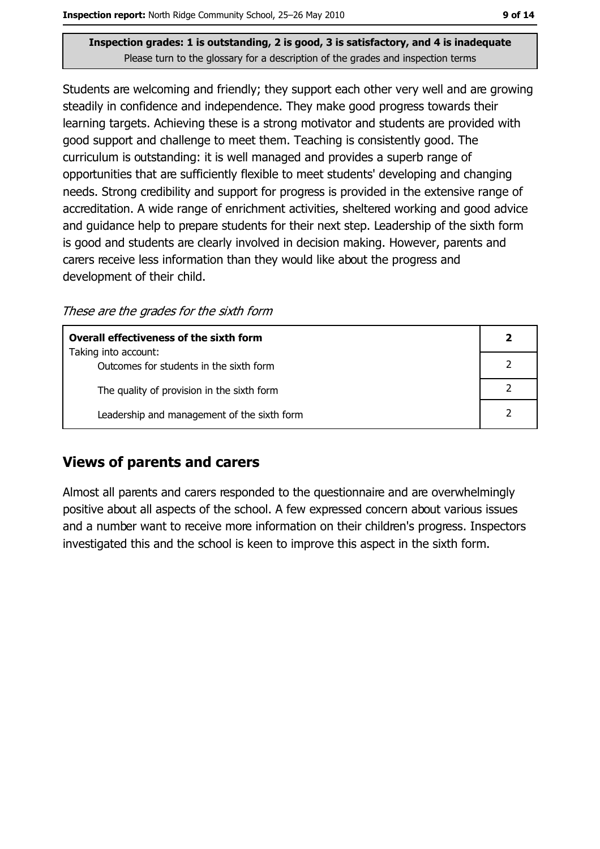Students are welcoming and friendly; they support each other very well and are growing steadily in confidence and independence. They make good progress towards their learning targets. Achieving these is a strong motivator and students are provided with good support and challenge to meet them. Teaching is consistently good. The curriculum is outstanding: it is well managed and provides a superb range of opportunities that are sufficiently flexible to meet students' developing and changing needs. Strong credibility and support for progress is provided in the extensive range of accreditation. A wide range of enrichment activities, sheltered working and good advice and guidance help to prepare students for their next step. Leadership of the sixth form is good and students are clearly involved in decision making. However, parents and carers receive less information than they would like about the progress and development of their child.

These are the grades for the sixth form

| <b>Overall effectiveness of the sixth form</b>                  |  |
|-----------------------------------------------------------------|--|
| Taking into account:<br>Outcomes for students in the sixth form |  |
| The quality of provision in the sixth form                      |  |
| Leadership and management of the sixth form                     |  |

## **Views of parents and carers**

Almost all parents and carers responded to the questionnaire and are overwhelmingly positive about all aspects of the school. A few expressed concern about various issues and a number want to receive more information on their children's progress. Inspectors investigated this and the school is keen to improve this aspect in the sixth form.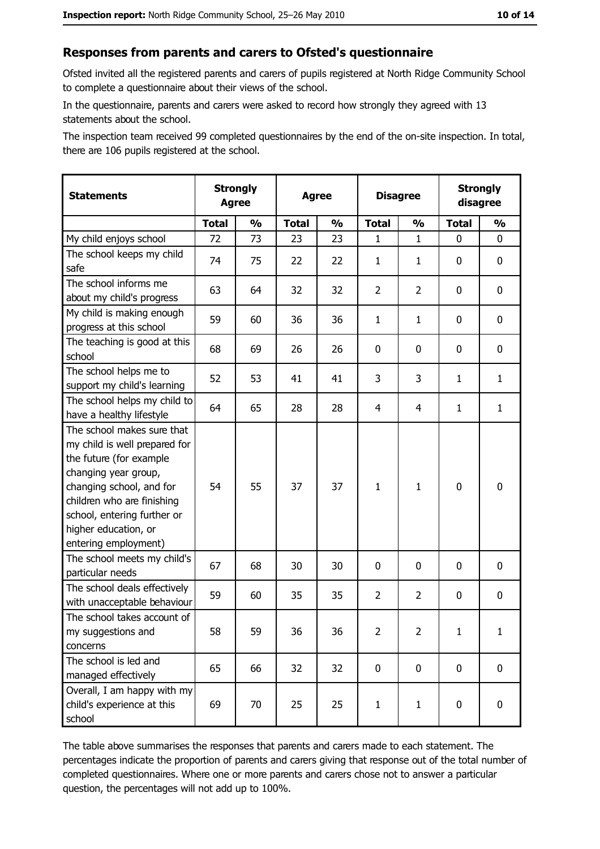#### Responses from parents and carers to Ofsted's questionnaire

Ofsted invited all the registered parents and carers of pupils registered at North Ridge Community School to complete a questionnaire about their views of the school.

In the questionnaire, parents and carers were asked to record how strongly they agreed with 13 statements about the school.

The inspection team received 99 completed questionnaires by the end of the on-site inspection. In total, there are 106 pupils registered at the school.

| <b>Statements</b>                                                                                                                                                                                                                                       |              | <b>Strongly</b><br><b>Agree</b> |              | <b>Agree</b>  |                | <b>Disagree</b> |              | <b>Strongly</b><br>disagree |
|---------------------------------------------------------------------------------------------------------------------------------------------------------------------------------------------------------------------------------------------------------|--------------|---------------------------------|--------------|---------------|----------------|-----------------|--------------|-----------------------------|
|                                                                                                                                                                                                                                                         | <b>Total</b> | $\frac{1}{2}$                   | <b>Total</b> | $\frac{0}{0}$ | <b>Total</b>   | $\frac{1}{2}$   | <b>Total</b> | $\frac{1}{2}$               |
| My child enjoys school                                                                                                                                                                                                                                  | 72           | 73                              | 23           | 23            | 1              | 1               | 0            | 0                           |
| The school keeps my child<br>safe                                                                                                                                                                                                                       | 74           | 75                              | 22           | 22            | 1              | 1               | 0            | $\mathbf 0$                 |
| The school informs me<br>about my child's progress                                                                                                                                                                                                      | 63           | 64                              | 32           | 32            | $\overline{2}$ | $\overline{2}$  | 0            | 0                           |
| My child is making enough<br>progress at this school                                                                                                                                                                                                    | 59           | 60                              | 36           | 36            | $\mathbf{1}$   | $\mathbf{1}$    | 0            | 0                           |
| The teaching is good at this<br>school                                                                                                                                                                                                                  | 68           | 69                              | 26           | 26            | 0              | 0               | 0            | 0                           |
| The school helps me to<br>support my child's learning                                                                                                                                                                                                   | 52           | 53                              | 41           | 41            | 3              | 3               | 1            | $\mathbf{1}$                |
| The school helps my child to<br>have a healthy lifestyle                                                                                                                                                                                                | 64           | 65                              | 28           | 28            | 4              | 4               | 1            | $\mathbf{1}$                |
| The school makes sure that<br>my child is well prepared for<br>the future (for example<br>changing year group,<br>changing school, and for<br>children who are finishing<br>school, entering further or<br>higher education, or<br>entering employment) | 54           | 55                              | 37           | 37            | $\mathbf{1}$   | $\mathbf{1}$    | $\mathbf 0$  | $\mathbf 0$                 |
| The school meets my child's<br>particular needs                                                                                                                                                                                                         | 67           | 68                              | 30           | 30            | $\mathbf 0$    | 0               | 0            | 0                           |
| The school deals effectively<br>with unacceptable behaviour                                                                                                                                                                                             | 59           | 60                              | 35           | 35            | $\overline{2}$ | $\overline{2}$  | 0            | 0                           |
| The school takes account of<br>my suggestions and<br>concerns                                                                                                                                                                                           | 58           | 59                              | 36           | 36            | $\overline{2}$ | $\overline{2}$  | $\mathbf{1}$ | $\mathbf{1}$                |
| The school is led and<br>managed effectively                                                                                                                                                                                                            | 65           | 66                              | 32           | 32            | $\mathbf 0$    | $\mathbf 0$     | $\mathbf 0$  | $\mathbf 0$                 |
| Overall, I am happy with my<br>child's experience at this<br>school                                                                                                                                                                                     | 69           | 70                              | 25           | 25            | $\mathbf{1}$   | $\mathbf{1}$    | 0            | $\mathbf 0$                 |

The table above summarises the responses that parents and carers made to each statement. The percentages indicate the proportion of parents and carers giving that response out of the total number of completed questionnaires. Where one or more parents and carers chose not to answer a particular question, the percentages will not add up to 100%.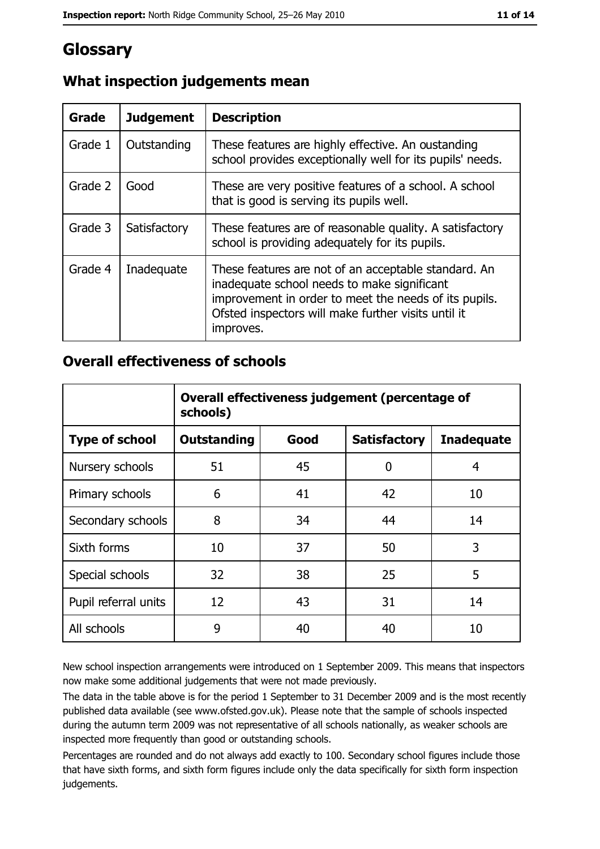# Glossary

| Grade   | <b>Judgement</b> | <b>Description</b>                                                                                                                                                                                                               |
|---------|------------------|----------------------------------------------------------------------------------------------------------------------------------------------------------------------------------------------------------------------------------|
| Grade 1 | Outstanding      | These features are highly effective. An oustanding<br>school provides exceptionally well for its pupils' needs.                                                                                                                  |
| Grade 2 | Good             | These are very positive features of a school. A school<br>that is good is serving its pupils well.                                                                                                                               |
| Grade 3 | Satisfactory     | These features are of reasonable quality. A satisfactory<br>school is providing adequately for its pupils.                                                                                                                       |
| Grade 4 | Inadequate       | These features are not of an acceptable standard. An<br>inadequate school needs to make significant<br>improvement in order to meet the needs of its pupils.<br>Ofsted inspectors will make further visits until it<br>improves. |

## What inspection judgements mean

#### **Overall effectiveness of schools**

|                       | Overall effectiveness judgement (percentage of<br>schools) |      |                     |                   |  |
|-----------------------|------------------------------------------------------------|------|---------------------|-------------------|--|
| <b>Type of school</b> | <b>Outstanding</b>                                         | Good | <b>Satisfactory</b> | <b>Inadequate</b> |  |
| Nursery schools       | 51                                                         | 45   | 0                   | 4                 |  |
| Primary schools       | 6                                                          | 41   | 42                  | 10                |  |
| Secondary schools     | 8                                                          | 34   | 44                  | 14                |  |
| Sixth forms           | 10                                                         | 37   | 50                  | 3                 |  |
| Special schools       | 32                                                         | 38   | 25                  | 5                 |  |
| Pupil referral units  | 12                                                         | 43   | 31                  | 14                |  |
| All schools           | 9                                                          | 40   | 40                  | 10                |  |

New school inspection arrangements were introduced on 1 September 2009. This means that inspectors now make some additional judgements that were not made previously.

The data in the table above is for the period 1 September to 31 December 2009 and is the most recently published data available (see www.ofsted.gov.uk). Please note that the sample of schools inspected during the autumn term 2009 was not representative of all schools nationally, as weaker schools are inspected more frequently than good or outstanding schools.

Percentages are rounded and do not always add exactly to 100. Secondary school figures include those that have sixth forms, and sixth form figures include only the data specifically for sixth form inspection judgements.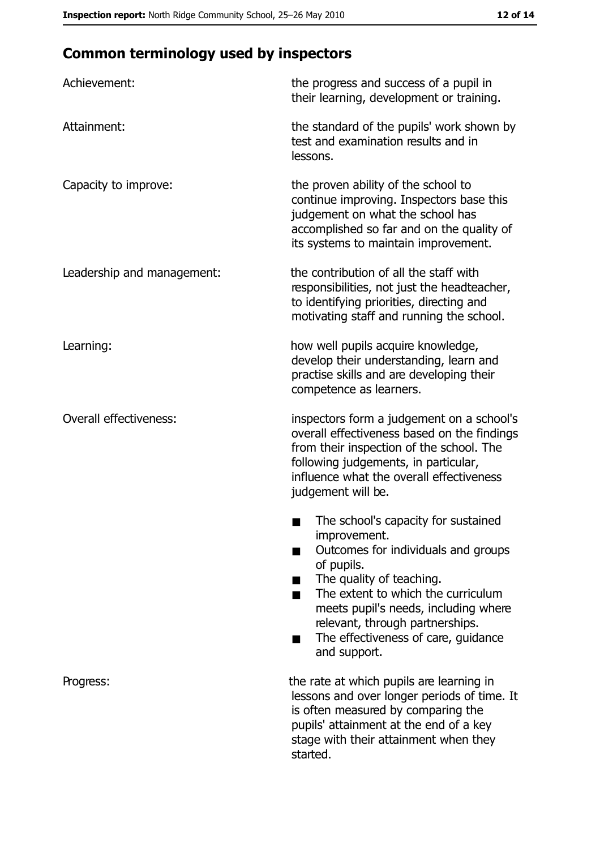# **Common terminology used by inspectors**

| Achievement:                  | the progress and success of a pupil in<br>their learning, development or training.                                                                                                                                                                                                                           |
|-------------------------------|--------------------------------------------------------------------------------------------------------------------------------------------------------------------------------------------------------------------------------------------------------------------------------------------------------------|
| Attainment:                   | the standard of the pupils' work shown by<br>test and examination results and in<br>lessons.                                                                                                                                                                                                                 |
| Capacity to improve:          | the proven ability of the school to<br>continue improving. Inspectors base this<br>judgement on what the school has<br>accomplished so far and on the quality of<br>its systems to maintain improvement.                                                                                                     |
| Leadership and management:    | the contribution of all the staff with<br>responsibilities, not just the headteacher,<br>to identifying priorities, directing and<br>motivating staff and running the school.                                                                                                                                |
| Learning:                     | how well pupils acquire knowledge,<br>develop their understanding, learn and<br>practise skills and are developing their<br>competence as learners.                                                                                                                                                          |
| <b>Overall effectiveness:</b> | inspectors form a judgement on a school's<br>overall effectiveness based on the findings<br>from their inspection of the school. The<br>following judgements, in particular,<br>influence what the overall effectiveness<br>judgement will be.                                                               |
|                               | The school's capacity for sustained<br>improvement.<br>Outcomes for individuals and groups<br>of pupils.<br>The quality of teaching.<br>The extent to which the curriculum<br>meets pupil's needs, including where<br>relevant, through partnerships.<br>The effectiveness of care, guidance<br>and support. |
| Progress:                     | the rate at which pupils are learning in<br>lessons and over longer periods of time. It<br>is often measured by comparing the<br>pupils' attainment at the end of a key<br>stage with their attainment when they<br>started.                                                                                 |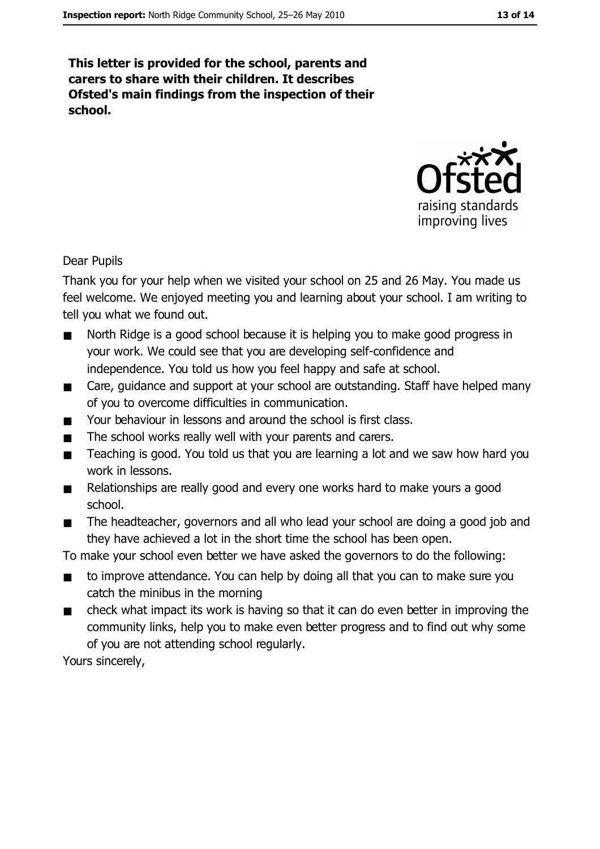This letter is provided for the school, parents and carers to share with their children. It describes Ofsted's main findings from the inspection of their school.



**Dear Pupils** 

Thank you for your help when we visited your school on 25 and 26 May. You made us feel welcome. We enjoyed meeting you and learning about your school. I am writing to tell you what we found out.

- North Ridge is a good school because it is helping you to make good progress in  $\blacksquare$ your work. We could see that you are developing self-confidence and independence. You told us how you feel happy and safe at school.
- $\blacksquare$ Care, quidance and support at your school are outstanding. Staff have helped many of you to overcome difficulties in communication.
- Your behaviour in lessons and around the school is first class.  $\blacksquare$
- The school works really well with your parents and carers.  $\blacksquare$
- Teaching is good. You told us that you are learning a lot and we saw how hard you  $\blacksquare$ work in lessons.
- Relationships are really good and every one works hard to make yours a good  $\blacksquare$ school.
- The headteacher, governors and all who lead your school are doing a good job and  $\blacksquare$ they have achieved a lot in the short time the school has been open.

To make your school even better we have asked the governors to do the following:

- to improve attendance. You can help by doing all that you can to make sure you  $\blacksquare$ catch the minibus in the morning
- check what impact its work is having so that it can do even better in improving the  $\blacksquare$ community links, help you to make even better progress and to find out why some of you are not attending school regularly.

Yours sincerely,